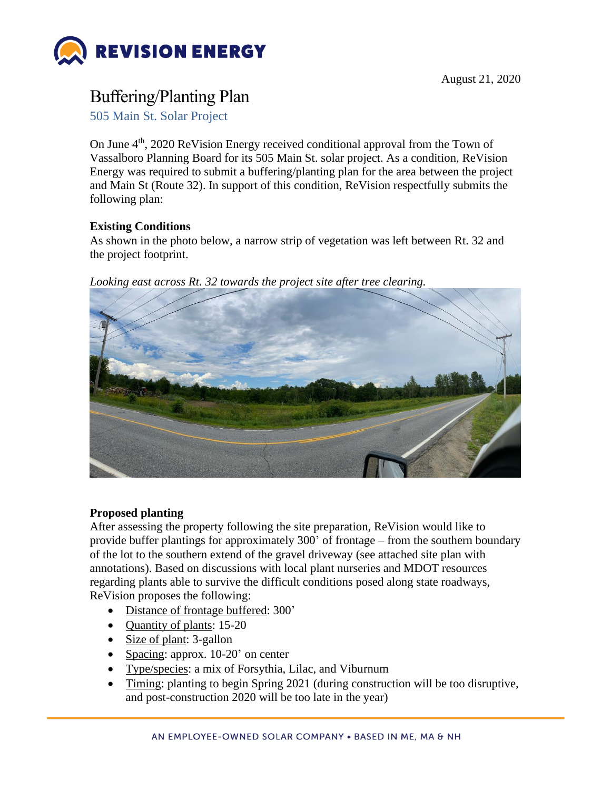

## Buffering/Planting Plan

505 Main St. Solar Project

On June 4th, 2020 ReVision Energy received conditional approval from the Town of Vassalboro Planning Board for its 505 Main St. solar project. As a condition, ReVision Energy was required to submit a buffering/planting plan for the area between the project and Main St (Route 32). In support of this condition, ReVision respectfully submits the following plan:

## **Existing Conditions**

As shown in the photo below, a narrow strip of vegetation was left between Rt. 32 and the project footprint.



*Looking east across Rt. 32 towards the project site after tree clearing.*

## **Proposed planting**

After assessing the property following the site preparation, ReVision would like to provide buffer plantings for approximately 300' of frontage – from the southern boundary of the lot to the southern extend of the gravel driveway (see attached site plan with annotations). Based on discussions with local plant nurseries and MDOT resources regarding plants able to survive the difficult conditions posed along state roadways, ReVision proposes the following:

- Distance of frontage buffered: 300'
- Quantity of plants: 15-20
- Size of plant: 3-gallon
- Spacing: approx. 10-20' on center
- Type/species: a mix of Forsythia, Lilac, and Viburnum
- Timing: planting to begin Spring 2021 (during construction will be too disruptive, and post-construction 2020 will be too late in the year)